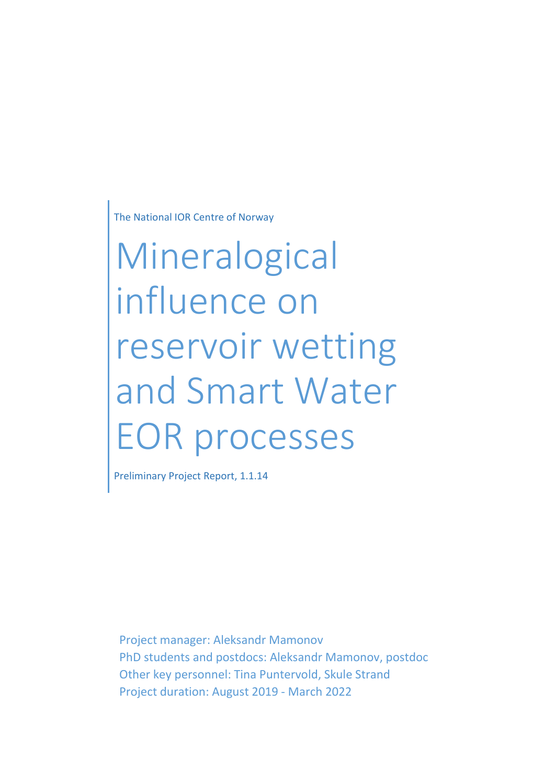The National IOR Centre of Norway

Mineralogical influence on reservoir wetting and Smart Water EOR processes

Preliminary Project Report, 1.1.14

Project manager: Aleksandr Mamonov PhD students and postdocs: Aleksandr Mamonov, postdoc Other key personnel: Tina Puntervold, Skule Strand Project duration: August 2019 - March 2022